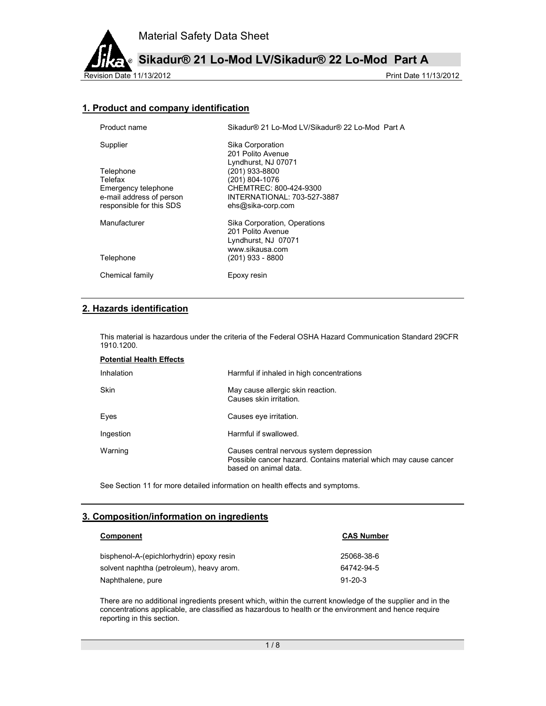

**Sikadur® 21 Lo-Mod LV/Sikadur® 22 Lo-Mod Part A**

Revision Date 11/13/2012 2012

# **1. Product and company identification**

| Product name             | Sikadur® 21 Lo-Mod LV/Sikadur® 22 Lo-Mod Part A |
|--------------------------|-------------------------------------------------|
| Supplier                 | Sika Corporation                                |
|                          | 201 Polito Avenue                               |
|                          | Lyndhurst, NJ 07071                             |
| Telephone                | (201) 933-8800                                  |
| Telefax                  | (201) 804-1076                                  |
| Emergency telephone      | CHEMTREC: 800-424-9300                          |
| e-mail address of person | INTERNATIONAL: 703-527-3887                     |
| responsible for this SDS | ehs@sika-corp.com                               |
| Manufacturer             | Sika Corporation, Operations                    |
|                          | 201 Polito Avenue                               |
|                          | Lyndhurst, NJ 07071                             |
|                          | www.sikausa.com                                 |
| Telephone                | (201) 933 - 8800                                |
| Chemical family          | Epoxy resin                                     |

# **2. Hazards identification**

This material is hazardous under the criteria of the Federal OSHA Hazard Communication Standard 29CFR 1910.1200.

| <b>Potential Health Effects</b> |                                                                                                                                       |
|---------------------------------|---------------------------------------------------------------------------------------------------------------------------------------|
| Inhalation                      | Harmful if inhaled in high concentrations                                                                                             |
| Skin                            | May cause allergic skin reaction.<br>Causes skin irritation.                                                                          |
| Eyes                            | Causes eye irritation.                                                                                                                |
| Ingestion                       | Harmful if swallowed.                                                                                                                 |
| Warning                         | Causes central nervous system depression<br>Possible cancer hazard. Contains material which may cause cancer<br>based on animal data. |

See Section 11 for more detailed information on health effects and symptoms.

### **3. Composition/information on ingredients**

| Component                                | <b>CAS Number</b> |  |
|------------------------------------------|-------------------|--|
| bisphenol-A-(epichlorhydrin) epoxy resin | 25068-38-6        |  |
| solvent naphtha (petroleum), heavy arom. | 64742-94-5        |  |
| Naphthalene, pure                        | $91 - 20 - 3$     |  |

There are no additional ingredients present which, within the current knowledge of the supplier and in the concentrations applicable, are classified as hazardous to health or the environment and hence require reporting in this section.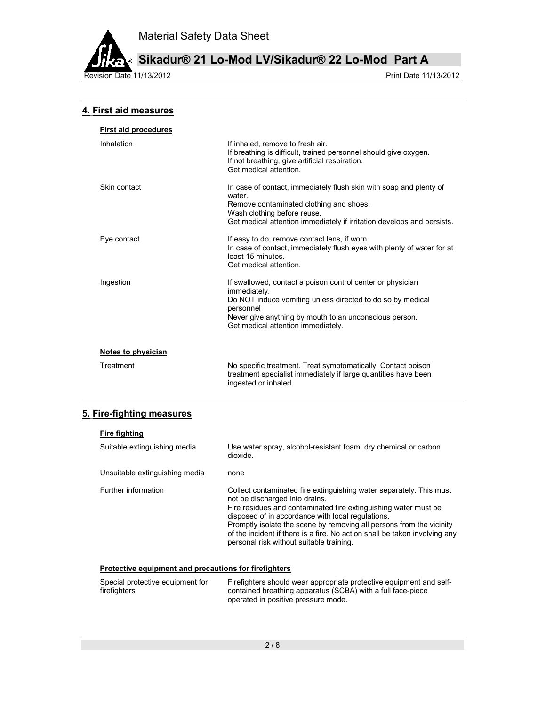

**Sikadur® 21 Lo-Mod LV/Sikadur® 22 Lo-Mod Part A**

Revision Date 11/13/2012 **Print Date 11/13/2012** 

## **4. First aid measures**

| <b>First aid procedures</b> |                                                                                                                                                                                                                                                       |
|-----------------------------|-------------------------------------------------------------------------------------------------------------------------------------------------------------------------------------------------------------------------------------------------------|
| Inhalation                  | If inhaled, remove to fresh air.<br>If breathing is difficult, trained personnel should give oxygen.<br>If not breathing, give artificial respiration.<br>Get medical attention.                                                                      |
| Skin contact                | In case of contact, immediately flush skin with soap and plenty of<br>water.<br>Remove contaminated clothing and shoes.<br>Wash clothing before reuse.<br>Get medical attention immediately if irritation develops and persists.                      |
| Eye contact                 | If easy to do, remove contact lens, if worn.<br>In case of contact, immediately flush eyes with plenty of water for at<br>least 15 minutes<br>Get medical attention.                                                                                  |
| Ingestion                   | If swallowed, contact a poison control center or physician<br>immediately.<br>Do NOT induce vomiting unless directed to do so by medical<br>personnel<br>Never give anything by mouth to an unconscious person.<br>Get medical attention immediately. |
| Notes to physician          |                                                                                                                                                                                                                                                       |
| Treatment                   | No specific treatment. Treat symptomatically. Contact poison<br>treatment specialist immediately if large quantities have been<br>ingested or inhaled.                                                                                                |

## **5. Fire-fighting measures**

| Fire fighting                  |                                                                                                                                                                                                                                                                                                                                                                                                                                 |
|--------------------------------|---------------------------------------------------------------------------------------------------------------------------------------------------------------------------------------------------------------------------------------------------------------------------------------------------------------------------------------------------------------------------------------------------------------------------------|
| Suitable extinguishing media   | Use water spray, alcohol-resistant foam, dry chemical or carbon<br>dioxide.                                                                                                                                                                                                                                                                                                                                                     |
| Unsuitable extinguishing media | none                                                                                                                                                                                                                                                                                                                                                                                                                            |
| Further information            | Collect contaminated fire extinguishing water separately. This must<br>not be discharged into drains.<br>Fire residues and contaminated fire extinguishing water must be<br>disposed of in accordance with local regulations.<br>Promptly isolate the scene by removing all persons from the vicinity<br>of the incident if there is a fire. No action shall be taken involving any<br>personal risk without suitable training. |

### **Protective equipment and precautions for firefighters**

| Special protective equipment for | Firefighters should wear appropriate protective equipment and self- |
|----------------------------------|---------------------------------------------------------------------|
| firefighters                     | contained breathing apparatus (SCBA) with a full face-piece         |
|                                  | operated in positive pressure mode.                                 |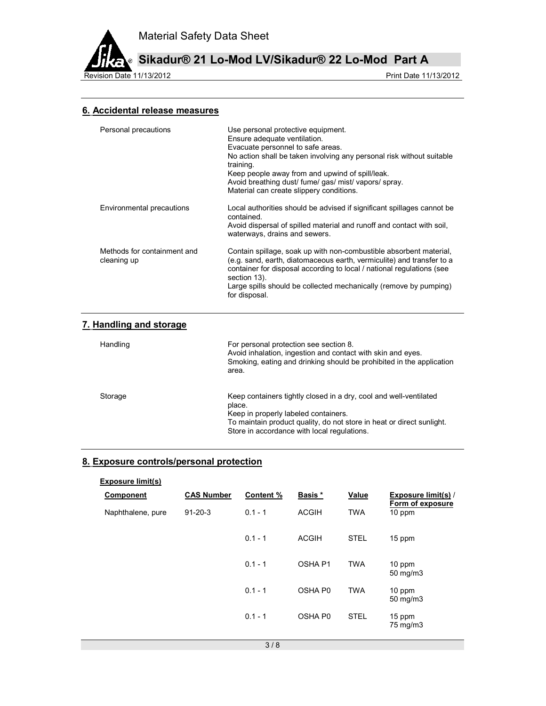

**Sikadur® 21 Lo-Mod LV/Sikadur® 22 Lo-Mod Part A**

Revision Date 11/13/2012 2012

# **6. Accidental release measures**

| Personal precautions                       | Use personal protective equipment.<br>Ensure adequate ventilation.<br>Evacuate personnel to safe areas.<br>No action shall be taken involving any personal risk without suitable<br>training.<br>Keep people away from and upwind of spill/leak.<br>Avoid breathing dust/ fume/ gas/ mist/ vapors/ spray.<br>Material can create slippery conditions. |
|--------------------------------------------|-------------------------------------------------------------------------------------------------------------------------------------------------------------------------------------------------------------------------------------------------------------------------------------------------------------------------------------------------------|
| Environmental precautions                  | Local authorities should be advised if significant spillages cannot be<br>contained.<br>Avoid dispersal of spilled material and runoff and contact with soil,<br>waterways, drains and sewers.                                                                                                                                                        |
| Methods for containment and<br>cleaning up | Contain spillage, soak up with non-combustible absorbent material,<br>(e.g. sand, earth, diatomaceous earth, vermiculite) and transfer to a<br>container for disposal according to local / national regulations (see<br>section 13).<br>Large spills should be collected mechanically (remove by pumping)<br>for disposal.                            |
| 7. Handling and storage                    |                                                                                                                                                                                                                                                                                                                                                       |
| Handling                                   | For personal protection see section 8.<br>Avoid inhalation, ingestion and contact with skin and eyes.<br>Smoking, eating and drinking should be prohibited in the application<br>area.                                                                                                                                                                |

| Storage | Keep containers tightly closed in a dry, cool and well-ventilated     |
|---------|-----------------------------------------------------------------------|
|         | place.                                                                |
|         | Keep in properly labeled containers.                                  |
|         | To maintain product quality, do not store in heat or direct sunlight. |
|         | Store in accordance with local regulations.                           |

# **8. Exposure controls/personal protection**

| <b>CAS Number</b> | Content % | Basis *            | Value       | <b>Exposure limit(s)/</b><br>Form of exposure |
|-------------------|-----------|--------------------|-------------|-----------------------------------------------|
| $91 - 20 - 3$     | $0.1 - 1$ | <b>ACGIH</b>       | <b>TWA</b>  | 10 ppm                                        |
|                   | $0.1 - 1$ | <b>ACGIH</b>       | <b>STEL</b> | 15 ppm                                        |
|                   | $0.1 - 1$ | OSHA <sub>P1</sub> | <b>TWA</b>  | 10 ppm<br>50 mg/m3                            |
|                   | $0.1 - 1$ | OSHA P0            | <b>TWA</b>  | 10 ppm<br>50 mg/m3                            |
|                   | $0.1 - 1$ | OSHA P0            | <b>STEL</b> | 15 ppm<br>75 mg/m3                            |
|                   |           |                    |             |                                               |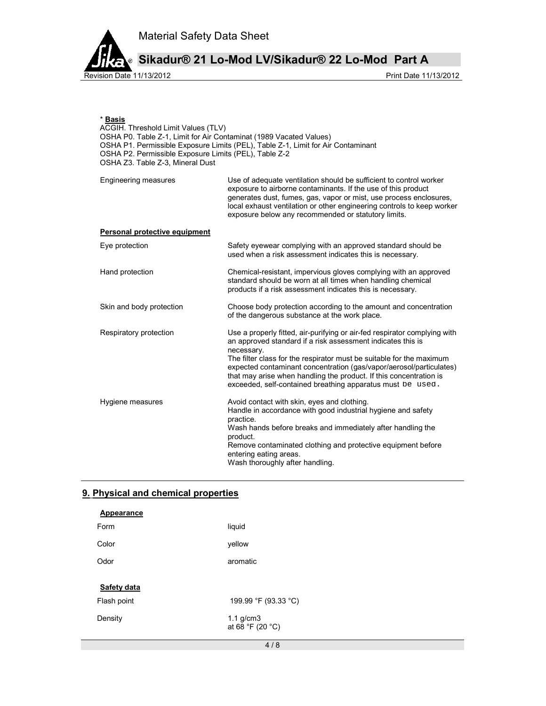

\* **Basis**

**Sikadur® 21 Lo-Mod LV/Sikadur® 22 Lo-Mod Part A**

| Basıs<br>ACGIH. Threshold Limit Values (TLV)<br>OSHA P0. Table Z-1, Limit for Air Contaminat (1989 Vacated Values)<br>OSHA P1. Permissible Exposure Limits (PEL), Table Z-1, Limit for Air Contaminant<br>OSHA P2. Permissible Exposure Limits (PEL), Table Z-2<br>OSHA Z3. Table Z-3, Mineral Dust |                                                                                                                                                                                                                                                                                                                                                                                                                                           |  |
|-----------------------------------------------------------------------------------------------------------------------------------------------------------------------------------------------------------------------------------------------------------------------------------------------------|-------------------------------------------------------------------------------------------------------------------------------------------------------------------------------------------------------------------------------------------------------------------------------------------------------------------------------------------------------------------------------------------------------------------------------------------|--|
| Engineering measures                                                                                                                                                                                                                                                                                | Use of adequate ventilation should be sufficient to control worker<br>exposure to airborne contaminants. If the use of this product<br>generates dust, fumes, gas, vapor or mist, use process enclosures,<br>local exhaust ventilation or other engineering controls to keep worker<br>exposure below any recommended or statutory limits.                                                                                                |  |
| Personal protective equipment                                                                                                                                                                                                                                                                       |                                                                                                                                                                                                                                                                                                                                                                                                                                           |  |
| Eye protection                                                                                                                                                                                                                                                                                      | Safety eyewear complying with an approved standard should be<br>used when a risk assessment indicates this is necessary.                                                                                                                                                                                                                                                                                                                  |  |
| Hand protection                                                                                                                                                                                                                                                                                     | Chemical-resistant, impervious gloves complying with an approved<br>standard should be worn at all times when handling chemical<br>products if a risk assessment indicates this is necessary.                                                                                                                                                                                                                                             |  |
| Skin and body protection                                                                                                                                                                                                                                                                            | Choose body protection according to the amount and concentration<br>of the dangerous substance at the work place.                                                                                                                                                                                                                                                                                                                         |  |
| Respiratory protection                                                                                                                                                                                                                                                                              | Use a properly fitted, air-purifying or air-fed respirator complying with<br>an approved standard if a risk assessment indicates this is<br>necessary.<br>The filter class for the respirator must be suitable for the maximum<br>expected contaminant concentration (gas/vapor/aerosol/particulates)<br>that may arise when handling the product. If this concentration is<br>exceeded, self-contained breathing apparatus must be used. |  |
| Hygiene measures                                                                                                                                                                                                                                                                                    | Avoid contact with skin, eyes and clothing.<br>Handle in accordance with good industrial hygiene and safety<br>practice.<br>Wash hands before breaks and immediately after handling the<br>product.<br>Remove contaminated clothing and protective equipment before<br>entering eating areas.<br>Wash thoroughly after handling.                                                                                                          |  |

# **9. Physical and chemical properties**

| <b>Appearance</b> |                                    |
|-------------------|------------------------------------|
| Form              | liquid                             |
| Color             | yellow                             |
| Odor              | aromatic                           |
|                   |                                    |
| Safety data       |                                    |
| Flash point       | 199.99 °F (93.33 °C)               |
| Density           | $1.1$ g/cm $3$<br>at 68 °F (20 °C) |
|                   | 4/8                                |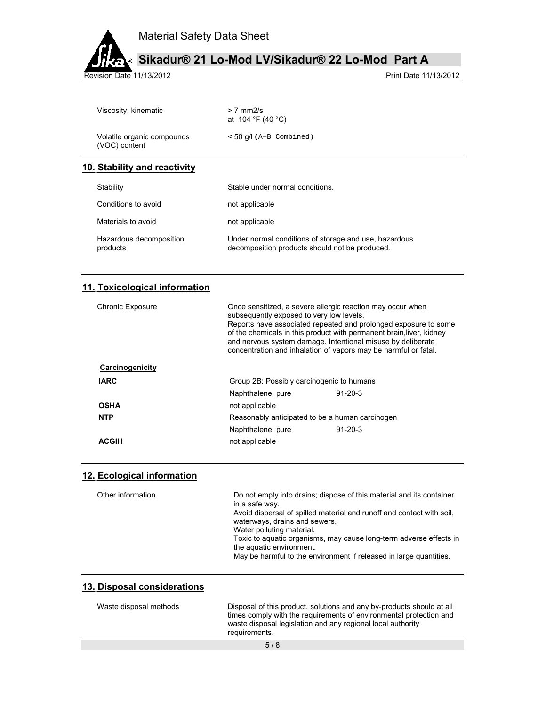



**Sikadur® 21 Lo-Mod LV/Sikadur® 22 Lo-Mod Part A**

Revision Date 11/13/2012

| 10. Stability and reactivity                |                                     |  |
|---------------------------------------------|-------------------------------------|--|
| Volatile organic compounds<br>(VOC) content | $<$ 50 q/l (A+B Combined)           |  |
| Viscosity, kinematic                        | $> 7$ mm $2/s$<br>at 104 °F (40 °C) |  |

| Stability                           | Stable under normal conditions.                                                                         |
|-------------------------------------|---------------------------------------------------------------------------------------------------------|
| Conditions to avoid                 | not applicable                                                                                          |
| Materials to avoid                  | not applicable                                                                                          |
| Hazardous decomposition<br>products | Under normal conditions of storage and use, hazardous<br>decomposition products should not be produced. |

# **11. Toxicological information**

| <b>Chronic Exposure</b> | Once sensitized, a severe allergic reaction may occur when<br>subsequently exposed to very low levels.<br>Reports have associated repeated and prolonged exposure to some<br>of the chemicals in this product with permanent brain liver, kidney<br>and nervous system damage. Intentional misuse by deliberate<br>concentration and inhalation of vapors may be harmful or fatal. |               |
|-------------------------|------------------------------------------------------------------------------------------------------------------------------------------------------------------------------------------------------------------------------------------------------------------------------------------------------------------------------------------------------------------------------------|---------------|
| Carcinogenicity         |                                                                                                                                                                                                                                                                                                                                                                                    |               |
| <b>IARC</b>             | Group 2B: Possibly carcinogenic to humans                                                                                                                                                                                                                                                                                                                                          |               |
|                         | Naphthalene, pure                                                                                                                                                                                                                                                                                                                                                                  | $91 - 20 - 3$ |
| <b>OSHA</b>             | not applicable                                                                                                                                                                                                                                                                                                                                                                     |               |
| <b>NTP</b>              | Reasonably anticipated to be a human carcinogen                                                                                                                                                                                                                                                                                                                                    |               |
|                         | Naphthalene, pure                                                                                                                                                                                                                                                                                                                                                                  | $91 - 20 - 3$ |
| ACGIH                   | not applicable                                                                                                                                                                                                                                                                                                                                                                     |               |

## **12. Ecological information**

| Other information | Do not empty into drains; dispose of this material and its container<br>in a safe way.                 |
|-------------------|--------------------------------------------------------------------------------------------------------|
|                   | Avoid dispersal of spilled material and runoff and contact with soil.<br>waterways, drains and sewers. |
|                   | Water polluting material.                                                                              |
|                   | Toxic to aquatic organisms, may cause long-term adverse effects in<br>the aquatic environment.         |
|                   | May be harmful to the environment if released in large quantities.                                     |

## **13. Disposal considerations**

| Waste disposal methods | Disposal of this product, solutions and any by-products should at all<br>times comply with the requirements of environmental protection and<br>waste disposal legislation and any regional local authority<br>requirements. |
|------------------------|-----------------------------------------------------------------------------------------------------------------------------------------------------------------------------------------------------------------------------|
|                        | 5/8                                                                                                                                                                                                                         |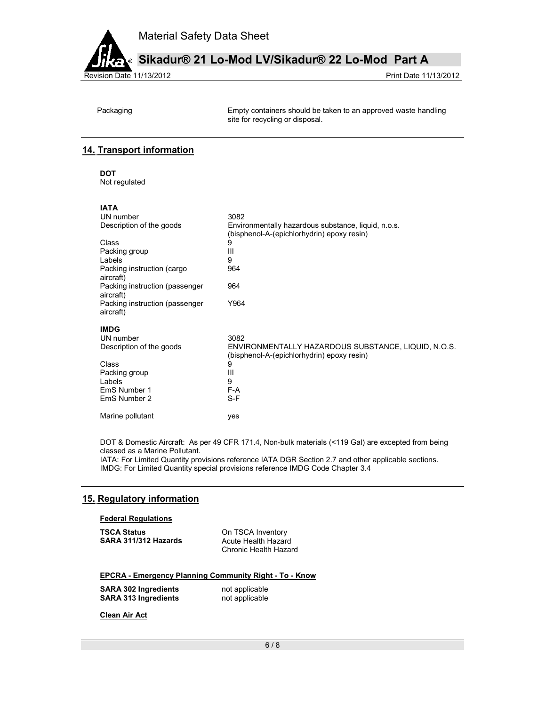



**Sikadur® 21 Lo-Mod LV/Sikadur® 22 Lo-Mod Part A**

Packaging Empty containers should be taken to an approved waste handling site for recycling or disposal.

# **14. Transport information**

**DOT**  Not regulated

### **IATA**

| UN number                                   | 3082                                                                                              |
|---------------------------------------------|---------------------------------------------------------------------------------------------------|
| Description of the goods                    | Environmentally hazardous substance, liquid, n.o.s.<br>(bisphenol-A-(epichlorhydrin) epoxy resin) |
| Class                                       | 9                                                                                                 |
| Packing group                               | Ш                                                                                                 |
| Labels                                      | 9                                                                                                 |
| Packing instruction (cargo<br>aircraft)     | 964                                                                                               |
| Packing instruction (passenger<br>aircraft) | 964                                                                                               |
| Packing instruction (passenger<br>aircraft) | Y964                                                                                              |
| <b>IMDG</b>                                 |                                                                                                   |
| UN number                                   | 3082                                                                                              |
| Description of the goods                    | ENVIRONMENTALLY HAZARDOUS SUBSTANCE, LIQUID, N.O.S.<br>(bisphenol-A-(epichlorhydrin) epoxy resin) |
| Class                                       | 9                                                                                                 |
| Packing group                               | Ш                                                                                                 |
| Labels                                      | 9                                                                                                 |
| EmS Number 1                                | F-A                                                                                               |
| EmS Number 2                                | $S-F$                                                                                             |
| Marine pollutant                            | yes                                                                                               |

DOT & Domestic Aircraft: As per 49 CFR 171.4, Non-bulk materials (<119 Gal) are excepted from being classed as a Marine Pollutant.

IATA: For Limited Quantity provisions reference IATA DGR Section 2.7 and other applicable sections. IMDG: For Limited Quantity special provisions reference IMDG Code Chapter 3.4

### **15. Regulatory information**

#### **Federal Regulations**

| <b>TSCA Status</b>   | On TSCA Inventory     |
|----------------------|-----------------------|
| SARA 311/312 Hazards | Acute Health Hazard   |
|                      | Chronic Health Hazard |

#### **EPCRA - Emergency Planning Community Right - To - Know**

**SARA 302 Ingredients** not applicable<br> **SARA 313 Ingredients** not applicable **SARA 313 Ingredients** 

**Clean Air Act**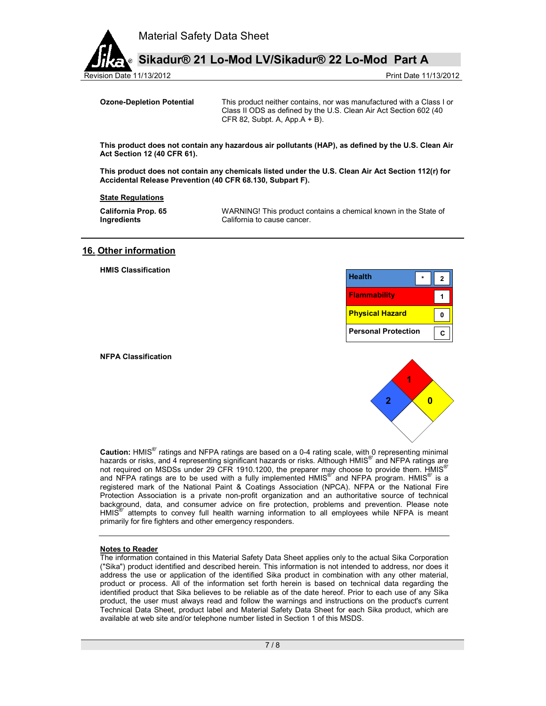

Revision Date 11/13/2012 Print Date 11/13/2012

**Ozone-Depletion Potential** This product neither contains, nor was manufactured with a Class I or Class II ODS as defined by the U.S. Clean Air Act Section 602 (40 CFR 82, Subpt. A, App.  $A + B$ ).

**This product does not contain any hazardous air pollutants (HAP), as defined by the U.S. Clean Air Act Section 12 (40 CFR 61).** 

**This product does not contain any chemicals listed under the U.S. Clean Air Act Section 112(r) for Accidental Release Prevention (40 CFR 68.130, Subpart F).** 

#### **State Regulations**

**California Prop. 65 Ingredients** 

 WARNING! This product contains a chemical known in the State of California to cause cancer.

#### **16. Other information**

**HMIS Classification** 

| <b>Health</b>              |  |
|----------------------------|--|
| <b>Flammability</b>        |  |
| <b>Physical Hazard</b>     |  |
| <b>Personal Protection</b> |  |

**NFPA Classification** 



**Caution:** HMIS®' ratings and NFPA ratings are based on a 0-4 rating scale, with 0 representing minimal hazards or risks, and 4 representing significant hazards or risks. Although HMIS<sup>®</sup> and NFPA ratings are not required on MSDSs under 29 CFR 1910.1200, the preparer may choose to provide them. HMIS<sup>®</sup> and NFPA ratings are to be used with a fully implemented HMIS<sup>®'</sup> and NFPA program. HMIS<sup>®</sup> is a registered mark of the National Paint & Coatings Association (NPCA). NFPA or the National Fire Protection Association is a private non-profit organization and an authoritative source of technical background, data, and consumer advice on fire protection, problems and prevention. Please note HMIS<sup>®</sup> attempts to convey full health warning information to all employees while NFPA is meant primarily for fire fighters and other emergency responders.

#### **Notes to Reader**

The information contained in this Material Safety Data Sheet applies only to the actual Sika Corporation ("Sika") product identified and described herein. This information is not intended to address, nor does it address the use or application of the identified Sika product in combination with any other material, product or process. All of the information set forth herein is based on technical data regarding the identified product that Sika believes to be reliable as of the date hereof. Prior to each use of any Sika product, the user must always read and follow the warnings and instructions on the product's current Technical Data Sheet, product label and Material Safety Data Sheet for each Sika product, which are available at web site and/or telephone number listed in Section 1 of this MSDS.